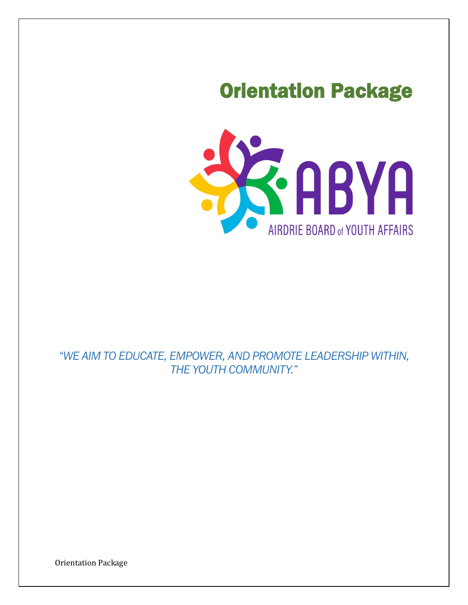# Orientation Package



# *"WE AIM TO EDUCATE, EMPOWER, AND PROMOTE LEADERSHIP WITHIN, THE YOUTH COMMUNITY."*

Orientation Package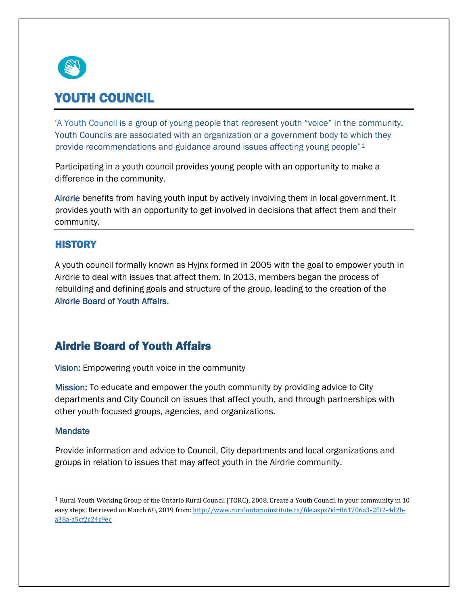

# YOUTH COUNCIL

'A Youth Council is a group of young people that represent youth "voice" in the community. Youth Councils are associated with an organization or a government body to which they provide recommendations and guidance around issues affecting young people"<sup>1</sup>

Participating in a youth council provides young people with an opportunity to make a difference in the community.

Airdrie benefits from having youth input by actively involving them in local government. It provides youth with an opportunity to get involved in decisions that affect them and their community.

### **HISTORY**

A youth council formally known as Hyjnx formed in 2005 with the goal to empower youth in Airdrie to deal with issues that affect them. In 2013, members began the process of rebuilding and defining goals and structure of the group, leading to the creation of the Airdrie Board of Youth Affairs.

## Airdrie Board of Youth Affairs

Vision: Empowering youth voice in the community

Mission: To educate and empower the youth community by providing advice to City departments and City Council on issues that affect youth, and through partnerships with other youth-focused groups, agencies, and organizations.

### **Mandate**

Provide information and advice to Council, City departments and local organizations and groups in relation to issues that may affect youth in the Airdrie community.

 $1$  Rural Youth Working Group of the Ontario Rural Council (TORC), 2008. Create a Youth Council in your community in 10 easy steps! Retrieved on March 6<sup>th</sup>, 2019 from[: http://www.ruralontarioinstitute.ca/file.aspx?id=061706a3-2f32-4d2b](http://www.ruralontarioinstitute.ca/file.aspx?id=061706a3-2f32-4d2b-a38a-a5cf2c24c9ec)[a38a-a5cf2c24c9ec](http://www.ruralontarioinstitute.ca/file.aspx?id=061706a3-2f32-4d2b-a38a-a5cf2c24c9ec)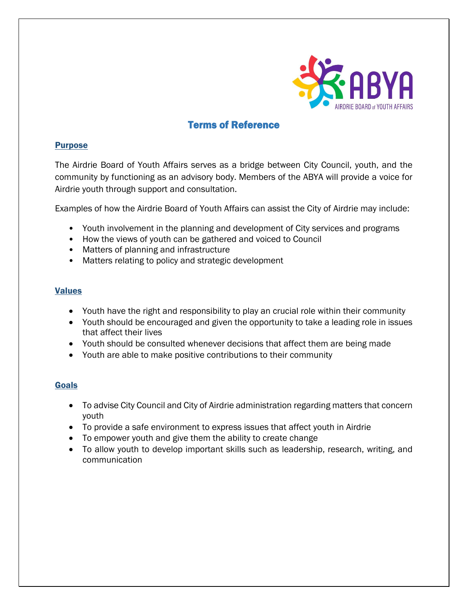

### Terms of Reference

### Purpose

The Airdrie Board of Youth Affairs serves as a bridge between City Council, youth, and the community by functioning as an advisory body. Members of the ABYA will provide a voice for Airdrie youth through support and consultation.

Examples of how the Airdrie Board of Youth Affairs can assist the City of Airdrie may include:

- Youth involvement in the planning and development of City services and programs
- How the views of youth can be gathered and voiced to Council
- Matters of planning and infrastructure
- Matters relating to policy and strategic development

### Values

- Youth have the right and responsibility to play an crucial role within their community
- Youth should be encouraged and given the opportunity to take a leading role in issues that affect their lives
- Youth should be consulted whenever decisions that affect them are being made
- Youth are able to make positive contributions to their community

### Goals

- To advise City Council and City of Airdrie administration regarding matters that concern youth
- To provide a safe environment to express issues that affect youth in Airdrie
- To empower youth and give them the ability to create change
- To allow youth to develop important skills such as leadership, research, writing, and communication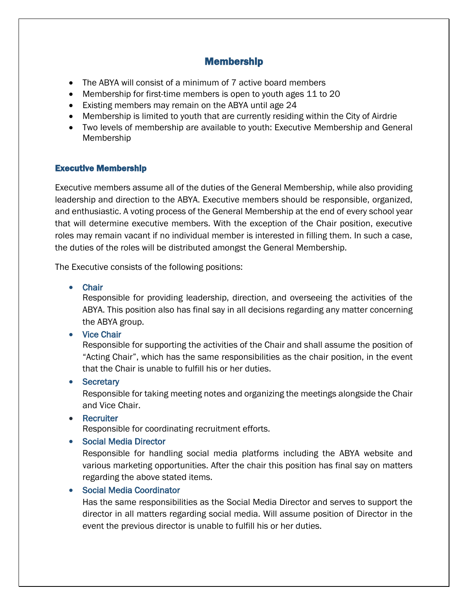### Membership

- The ABYA will consist of a minimum of 7 active board members
- Membership for first-time members is open to youth ages 11 to 20
- Existing members may remain on the ABYA until age 24
- Membership is limited to youth that are currently residing within the City of Airdrie
- Two levels of membership are available to youth: Executive Membership and General Membership

### Executive Membership

Executive members assume all of the duties of the General Membership, while also providing leadership and direction to the ABYA. Executive members should be responsible, organized, and enthusiastic. A voting process of the General Membership at the end of every school year that will determine executive members. With the exception of the Chair position, executive roles may remain vacant if no individual member is interested in filling them. In such a case, the duties of the roles will be distributed amongst the General Membership.

The Executive consists of the following positions:

• Chair

Responsible for providing leadership, direction, and overseeing the activities of the ABYA. This position also has final say in all decisions regarding any matter concerning the ABYA group.

• Vice Chair

Responsible for supporting the activities of the Chair and shall assume the position of "Acting Chair", which has the same responsibilities as the chair position, in the event that the Chair is unable to fulfill his or her duties.

• Secretary

Responsible for taking meeting notes and organizing the meetings alongside the Chair and Vice Chair.

• Recruiter

Responsible for coordinating recruitment efforts.

• Social Media Director

Responsible for handling social media platforms including the ABYA website and various marketing opportunities. After the chair this position has final say on matters regarding the above stated items.

• Social Media Coordinator

Has the same responsibilities as the Social Media Director and serves to support the director in all matters regarding social media. Will assume position of Director in the event the previous director is unable to fulfill his or her duties.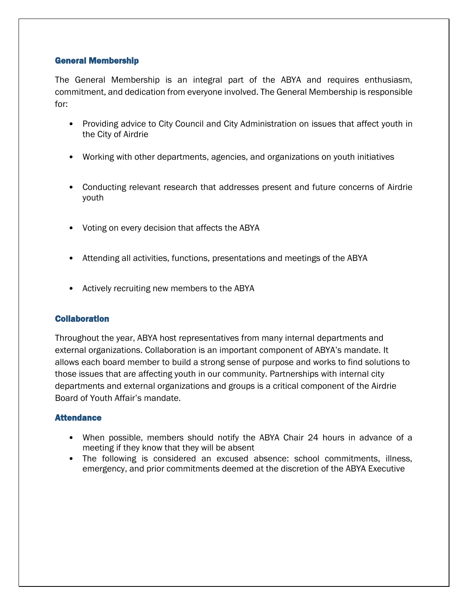### General Membership

The General Membership is an integral part of the ABYA and requires enthusiasm, commitment, and dedication from everyone involved. The General Membership is responsible for:

- Providing advice to City Council and City Administration on issues that affect youth in the City of Airdrie
- Working with other departments, agencies, and organizations on youth initiatives
- Conducting relevant research that addresses present and future concerns of Airdrie youth
- Voting on every decision that affects the ABYA
- Attending all activities, functions, presentations and meetings of the ABYA
- Actively recruiting new members to the ABYA

### **Collaboration**

Throughout the year, ABYA host representatives from many internal departments and external organizations. Collaboration is an important component of ABYA's mandate. It allows each board member to build a strong sense of purpose and works to find solutions to those issues that are affecting youth in our community. Partnerships with internal city departments and external organizations and groups is a critical component of the Airdrie Board of Youth Affair's mandate.

### **Attendance**

- When possible, members should notify the ABYA Chair 24 hours in advance of a meeting if they know that they will be absent
- The following is considered an excused absence: school commitments, illness, emergency, and prior commitments deemed at the discretion of the ABYA Executive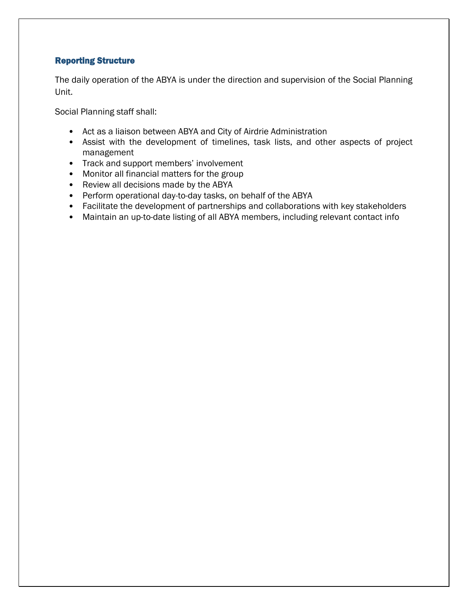### Reporting Structure

The daily operation of the ABYA is under the direction and supervision of the Social Planning Unit.

Social Planning staff shall:

- Act as a liaison between ABYA and City of Airdrie Administration
- Assist with the development of timelines, task lists, and other aspects of project management
- Track and support members' involvement
- Monitor all financial matters for the group
- Review all decisions made by the ABYA
- Perform operational day-to-day tasks, on behalf of the ABYA
- Facilitate the development of partnerships and collaborations with key stakeholders
- Maintain an up-to-date listing of all ABYA members, including relevant contact info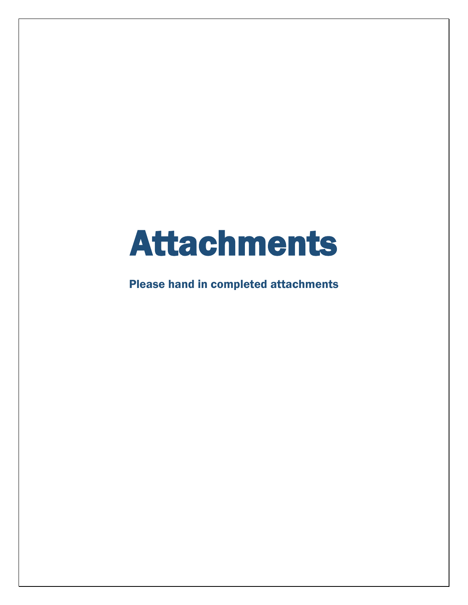# Attachments

Please hand in completed attachments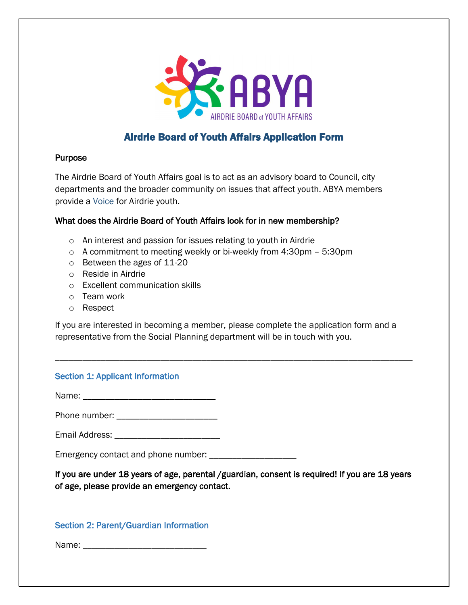

### Airdrie Board of Youth Affairs Application Form

### Purpose

The Airdrie Board of Youth Affairs goal is to act as an advisory board to Council, city departments and the broader community on issues that affect youth. ABYA members provide a Voice for Airdrie youth.

### What does the Airdrie Board of Youth Affairs look for in new membership?

- o An interest and passion for issues relating to youth in Airdrie
- o A commitment to meeting weekly or bi-weekly from 4:30pm 5:30pm
- o Between the ages of 11-20
- o Reside in Airdrie
- o Excellent communication skills
- o Team work
- o Respect

If you are interested in becoming a member, please complete the application form and a representative from the Social Planning department will be in touch with you.

\_\_\_\_\_\_\_\_\_\_\_\_\_\_\_\_\_\_\_\_\_\_\_\_\_\_\_\_\_\_\_\_\_\_\_\_\_\_\_\_\_\_\_\_\_\_\_\_\_\_\_\_\_\_\_\_\_\_\_\_\_\_\_\_\_\_\_\_\_\_\_\_\_\_\_\_\_\_

### Section 1: Applicant Information

Name: \_\_\_\_\_\_\_\_\_\_\_\_\_\_\_\_\_\_\_\_\_\_\_\_\_\_\_\_\_

Phone number: \_\_\_\_\_\_\_\_\_\_\_\_\_\_\_\_\_\_\_\_\_\_

Email Address: **Email Address:**  $\blacksquare$ 

Emergency contact and phone number: \_\_\_\_\_\_\_\_\_\_\_\_\_\_\_\_\_\_\_

If you are under 18 years of age, parental /guardian, consent is required! If you are 18 years of age, please provide an emergency contact.

### Section 2: Parent/Guardian Information

Name: \_\_\_\_\_\_\_\_\_\_\_\_\_\_\_\_\_\_\_\_\_\_\_\_\_\_\_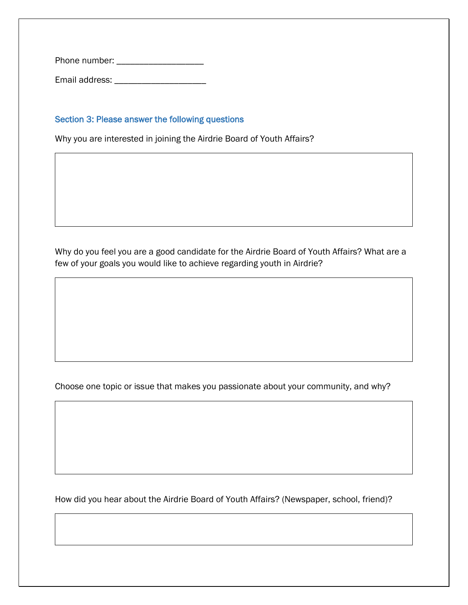Phone number: \_\_\_\_\_\_\_\_\_\_\_\_\_\_\_\_\_\_\_

Email address: \_\_\_\_\_\_\_\_\_\_\_\_\_\_\_\_\_\_\_\_

### Section 3: Please answer the following questions

Why you are interested in joining the Airdrie Board of Youth Affairs?

Why do you feel you are a good candidate for the Airdrie Board of Youth Affairs? What are a few of your goals you would like to achieve regarding youth in Airdrie?

Choose one topic or issue that makes you passionate about your community, and why?

How did you hear about the Airdrie Board of Youth Affairs? (Newspaper, school, friend)?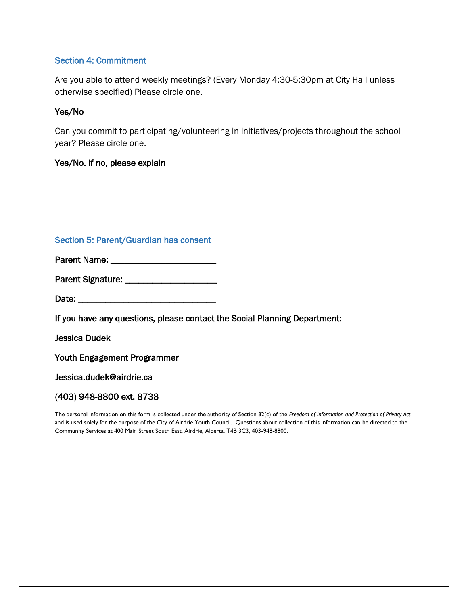### Section 4: Commitment

Are you able to attend weekly meetings? (Every Monday 4:30-5:30pm at City Hall unless otherwise specified) Please circle one.

### Yes/No

Can you commit to participating/volunteering in initiatives/projects throughout the school year? Please circle one.

### Yes/No. If no, please explain

### Section 5: Parent/Guardian has consent

Parent Name: \_\_\_\_\_\_\_\_\_\_\_\_\_\_\_\_\_\_\_\_\_\_\_

Parent Signature: \_\_\_\_\_\_\_\_\_\_\_\_\_\_\_\_\_\_\_\_

Date: \_\_\_\_\_\_\_\_\_\_\_\_\_\_\_\_\_\_\_\_\_\_\_\_\_\_\_\_\_\_

If you have any questions, please contact the Social Planning Department:

Jessica Dudek

Youth Engagement Programmer

Jessica.dudek@airdrie.ca

### (403) 948-8800 ext. 8738

The personal information on this form is collected under the authority of Section 32(c) of the *Freedom of Information and Protection of Privacy Act* and is used solely for the purpose of the City of Airdrie Youth Council. Questions about collection of this information can be directed to the Community Services at 400 Main Street South East, Airdrie, Alberta, T4B 3C3, 403-948-8800.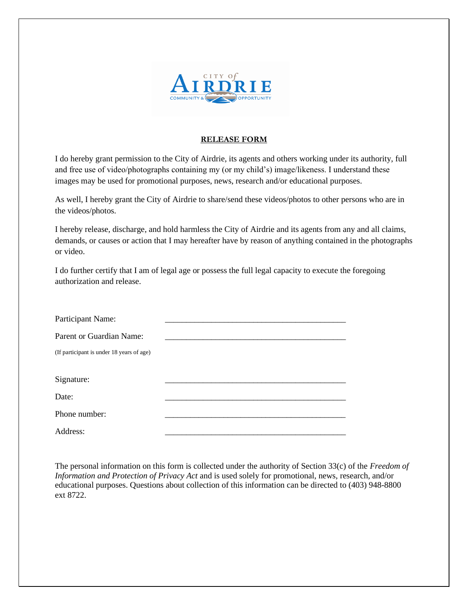

### **RELEASE FORM**

I do hereby grant permission to the City of Airdrie, its agents and others working under its authority, full and free use of video/photographs containing my (or my child's) image/likeness. I understand these images may be used for promotional purposes, news, research and/or educational purposes.

As well, I hereby grant the City of Airdrie to share/send these videos/photos to other persons who are in the videos/photos.

I hereby release, discharge, and hold harmless the City of Airdrie and its agents from any and all claims, demands, or causes or action that I may hereafter have by reason of anything contained in the photographs or video.

I do further certify that I am of legal age or possess the full legal capacity to execute the foregoing authorization and release.

| Participant Name:                         |  |
|-------------------------------------------|--|
| Parent or Guardian Name:                  |  |
| (If participant is under 18 years of age) |  |
|                                           |  |
| Signature:                                |  |
| Date:                                     |  |
| Phone number:                             |  |
| Address:                                  |  |

The personal information on this form is collected under the authority of Section 33(c) of the *Freedom of Information and Protection of Privacy Act* and is used solely for promotional, news, research, and/or educational purposes. Questions about collection of this information can be directed to (403) 948-8800 ext 8722.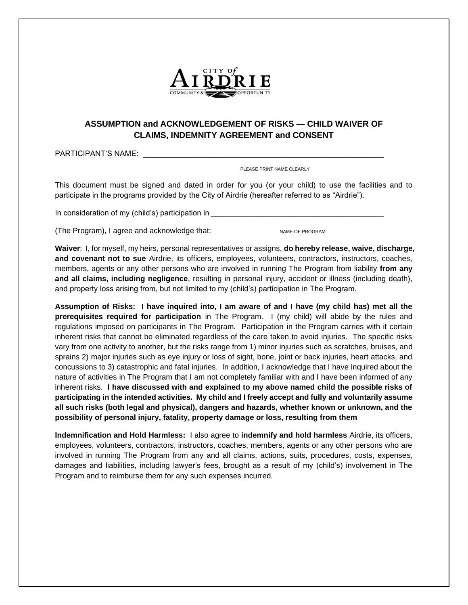

### **ASSUMPTION and ACKNOWLEDGEMENT OF RISKS — CHILD WAIVER OF CLAIMS, INDEMNITY AGREEMENT and CONSENT**

PARTICIPANT'S NAME: \_\_\_\_\_\_\_\_\_\_\_

PLEASE PRINT NAME CLEARLY

This document must be signed and dated in order for you (or your child) to use the facilities and to participate in the programs provided by the City of Airdrie (hereafter referred to as "Airdrie").

In consideration of my (child's) participation in

(The Program), I agree and acknowledge that: NAME OF PROGRAM

**Waiver**: I, for myself, my heirs, personal representatives or assigns, **do hereby release, waive, discharge, and covenant not to sue** Airdrie, its officers, employees, volunteers, contractors, instructors, coaches, members, agents or any other persons who are involved in running The Program from liability **from any and all claims, including negligence**, resulting in personal injury, accident or illness (including death), and property loss arising from, but not limited to my (child's) participation in The Program.

**Assumption of Risks: I have inquired into, I am aware of and I have (my child has) met all the prerequisites required for participation** in The Program. I (my child) will abide by the rules and regulations imposed on participants in The Program. Participation in the Program carries with it certain inherent risks that cannot be eliminated regardless of the care taken to avoid injuries. The specific risks vary from one activity to another, but the risks range from 1) minor injuries such as scratches, bruises, and sprains 2) major injuries such as eye injury or loss of sight, bone, joint or back injuries, heart attacks, and concussions to 3) catastrophic and fatal injuries. In addition, I acknowledge that I have inquired about the nature of activities in The Program that I am not completely familiar with and I have been informed of any inherent risks. **I have discussed with and explained to my above named child the possible risks of participating in the intended activities. My child and I freely accept and fully and voluntarily assume all such risks (both legal and physical), dangers and hazards, whether known or unknown, and the possibility of personal injury, fatality, property damage or loss, resulting from them**

**Indemnification and Hold Harmless:** I also agree to **indemnify and hold harmless** Airdrie, its officers, employees, volunteers, contractors, instructors, coaches, members, agents or any other persons who are involved in running The Program from any and all claims, actions, suits, procedures, costs, expenses, damages and liabilities, including lawyer's fees, brought as a result of my (child's) involvement in The Program and to reimburse them for any such expenses incurred.